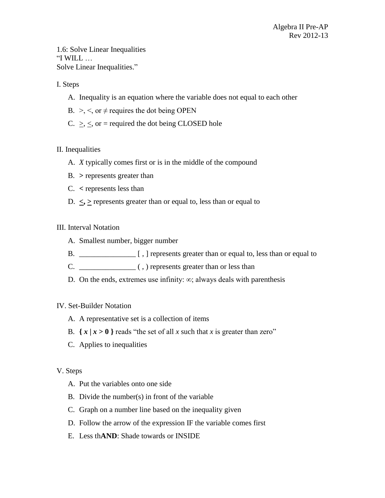1.6: Solve Linear Inequalities "I WILL … Solve Linear Inequalities."

### I. Steps

- A. Inequality is an equation where the variable does not equal to each other
- B.  $\geq$ ,  $\leq$ , or  $\neq$  requires the dot being OPEN
- C.  $\geq$ ,  $\leq$ , or = required the dot being CLOSED hole

### II. Inequalities

- A. *X* typically comes first or is in the middle of the compound
- B. **>** represents greater than
- C. **<** represents less than
- D.  $\leq$ ,  $\geq$  represents greater than or equal to, less than or equal to

### III. Interval Notation

- A. Smallest number, bigger number
- B. \_\_\_\_\_\_\_\_\_\_\_\_\_\_\_ [ , ] represents greater than or equal to, less than or equal to
- C. \_\_\_\_\_\_\_\_\_\_\_\_\_\_\_ ( , ) represents greater than or less than
- D. On the ends, extremes use infinity:  $\infty$ ; always deals with parenthesis

### IV. Set-Builder Notation

- A. A representative set is a collection of items
- B.  $\{ x \mid x > 0 \}$  reads "the set of all *x* such that *x* is greater than zero"
- C. Applies to inequalities

### V. Steps

- A. Put the variables onto one side
- B. Divide the number(s) in front of the variable
- C. Graph on a number line based on the inequality given
- D. Follow the arrow of the expression IF the variable comes first
- E. Less th**AND**: Shade towards or INSIDE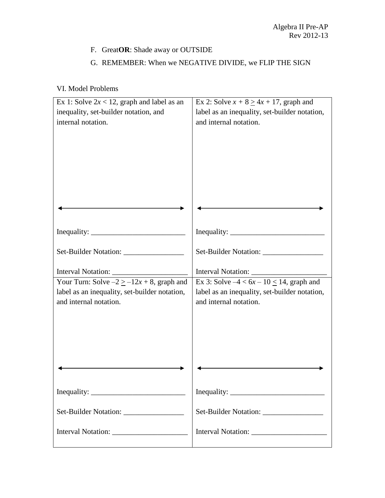## F. Great**OR**: Shade away or OUTSIDE

## G. REMEMBER: When we NEGATIVE DIVIDE, we FLIP THE SIGN

# VI. Model Problems

| Ex 1: Solve $2x < 12$ , graph and label as an  | Ex 2: Solve $x + 8 \ge 4x + 17$ , graph and   |
|------------------------------------------------|-----------------------------------------------|
| inequality, set-builder notation, and          | label as an inequality, set-builder notation, |
| internal notation.                             | and internal notation.                        |
|                                                |                                               |
|                                                |                                               |
|                                                |                                               |
|                                                |                                               |
|                                                |                                               |
|                                                |                                               |
|                                                |                                               |
|                                                |                                               |
|                                                |                                               |
| Set-Builder Notation: __________________       | Set-Builder Notation: ________________        |
|                                                |                                               |
|                                                |                                               |
| Your Turn: Solve $-2 \ge -12x + 8$ , graph and | Ex 3: Solve $-4 < 6x - 10 \le 14$ , graph and |
| label as an inequality, set-builder notation,  | label as an inequality, set-builder notation, |
| and internal notation.                         | and internal notation.                        |
|                                                |                                               |
|                                                |                                               |
|                                                |                                               |
|                                                |                                               |
|                                                |                                               |
|                                                |                                               |
| Inequality: $\frac{1}{2}$                      |                                               |
|                                                |                                               |
|                                                | Set-Builder Notation: ____________________    |
|                                                |                                               |
|                                                |                                               |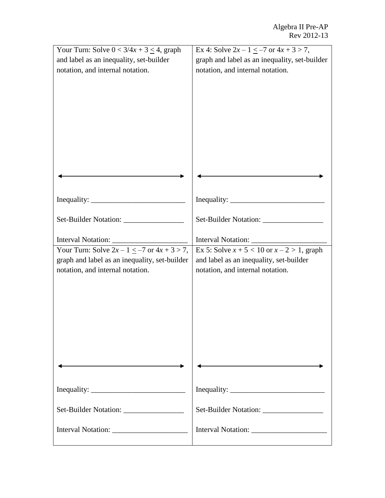| Your Turn: Solve $0 < 3/4x + 3 \le 4$ , graph      | Ex 4: Solve $2x - 1 \le -7$ or $4x + 3 > 7$ ,   |
|----------------------------------------------------|-------------------------------------------------|
| and label as an inequality, set-builder            | graph and label as an inequality, set-builder   |
| notation, and internal notation.                   | notation, and internal notation.                |
|                                                    |                                                 |
|                                                    |                                                 |
|                                                    |                                                 |
|                                                    |                                                 |
|                                                    |                                                 |
|                                                    |                                                 |
|                                                    |                                                 |
|                                                    |                                                 |
|                                                    |                                                 |
|                                                    |                                                 |
|                                                    |                                                 |
|                                                    |                                                 |
|                                                    |                                                 |
| Set-Builder Notation: __________________           | Set-Builder Notation: __________________        |
|                                                    |                                                 |
| Interval Notation:                                 | Interval Notation:                              |
| Your Turn: Solve $2x - 1 \le -7$ or $4x + 3 > 7$ , | Ex 5: Solve $x + 5 < 10$ or $x - 2 > 1$ , graph |
| graph and label as an inequality, set-builder      | and label as an inequality, set-builder         |
| notation, and internal notation.                   | notation, and internal notation.                |
|                                                    |                                                 |
|                                                    |                                                 |
|                                                    |                                                 |
|                                                    |                                                 |
|                                                    |                                                 |
|                                                    |                                                 |
|                                                    |                                                 |
|                                                    |                                                 |
|                                                    |                                                 |
|                                                    |                                                 |
|                                                    |                                                 |
|                                                    |                                                 |
| Set-Builder Notation: __________________           |                                                 |
|                                                    |                                                 |
|                                                    |                                                 |
|                                                    |                                                 |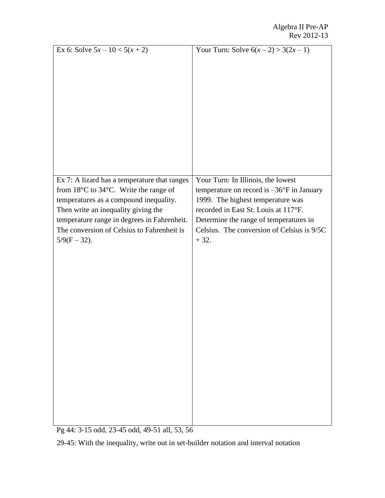| Ex 6: Solve $5x - 10 < 5(x + 2)$                                                                                                                                                                                                                                                                         | Your Turn: Solve $6(x-2) > 3(2x-1)$                                                                                                                                                                                                                                      |
|----------------------------------------------------------------------------------------------------------------------------------------------------------------------------------------------------------------------------------------------------------------------------------------------------------|--------------------------------------------------------------------------------------------------------------------------------------------------------------------------------------------------------------------------------------------------------------------------|
|                                                                                                                                                                                                                                                                                                          |                                                                                                                                                                                                                                                                          |
|                                                                                                                                                                                                                                                                                                          |                                                                                                                                                                                                                                                                          |
|                                                                                                                                                                                                                                                                                                          |                                                                                                                                                                                                                                                                          |
|                                                                                                                                                                                                                                                                                                          |                                                                                                                                                                                                                                                                          |
|                                                                                                                                                                                                                                                                                                          |                                                                                                                                                                                                                                                                          |
| Ex 7: A lizard has a temperature that ranges<br>from $18^{\circ}$ C to $34^{\circ}$ C. Write the range of<br>temperatures as a compound inequality.<br>Then write an inequality giving the<br>temperature range in degrees in Fahrenheit.<br>The conversion of Celsius to Fahrenheit is<br>$5/9(F-32)$ . | Your Turn: In Illinois, the lowest<br>temperature on record is $-36^{\circ}$ F in January<br>1999. The highest temperature was<br>recorded in East St. Louis at 117°F.<br>Determine the range of temperatures in<br>Celsius. The conversion of Celsius is 9/5C<br>$+32.$ |

Pg 44: 3-15 odd, 23-45 odd, 49-51 all, 53, 56

29-45: With the inequality, write out in set-builder notation and interval notation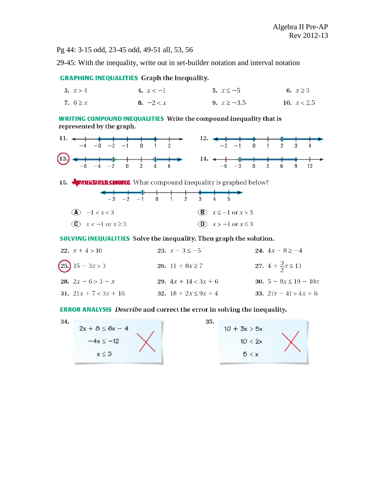Pg 44: 3-15 odd, 23-45 odd, 49-51 all, 53, 56

29-45: With the inequality, write out in set-builder notation and interval notation

### **GRAPHING INEQUALITIES** Graph the inequality.

| 3. $x > 4$   | 4. $x < -1$ | 5. $x \le -5$   | 6. $x \ge 3$  |
|--------------|-------------|-----------------|---------------|
| 7. $6 \ge x$ | 8. $-2 < x$ | 9. $x \ge -3.5$ | 10. $x < 2.5$ |

**WRITING COMPOUND INEQUALITIES** Write the compound inequality that is represented by the graph.



15. **INTERVIEW AND THE SET OF STATE OF STATE IS A TEMP** 15 Set 100 MM 2010 WAS 15 AM 2010 WAS 15 AM 2010 WAS 15 AM 2010 WAS 15 AM 2010 WAS 15 AM 2010 WAS 15 AM 2010 WAS 15 AM 2010 WAS 15 AM 2010 WAS 15 AM 2010 WAS 15 AM 20

|                                      |  | $-3$ $-2$ $-1$ 0 1 2 3 |  |  |                                    |  |
|--------------------------------------|--|------------------------|--|--|------------------------------------|--|
|                                      |  |                        |  |  |                                    |  |
| $(A) -1 < x < 3$                     |  |                        |  |  | $\mathbf{B}$ $x \le -1$ or $x > 3$ |  |
| $\overline{c}$ $x < -1$ or $x \ge 3$ |  |                        |  |  | $(D)$ $x > -1$ or $x \le 3$        |  |

**SOLVING INEQUALITIES** Solve the inequality. Then graph the solution.

| 22. $x + 4 > 10$        | 23. $x - 3 \le -5$       | 24. $4x - 8 \ge -4$           |
|-------------------------|--------------------------|-------------------------------|
| $(25)$ 15 – 3x > 3      | 26. 11 + $8x \ge 7$      | 27. $4 + \frac{3}{2}x \le 13$ |
| 28. $2x - 6 > 3 - x$    | 29. $4x + 14 < 3x + 6$   | 30. $5 - 8x \le 19 - 10x$     |
| 31. $21x + 7 < 3x + 16$ | 32. $18 + 2x \le 9x + 4$ | <b>33.</b> $2(x-4) > 4x+6$    |

#### **ERROR ANALYSIS** Describe and correct the error in solving the inequality.